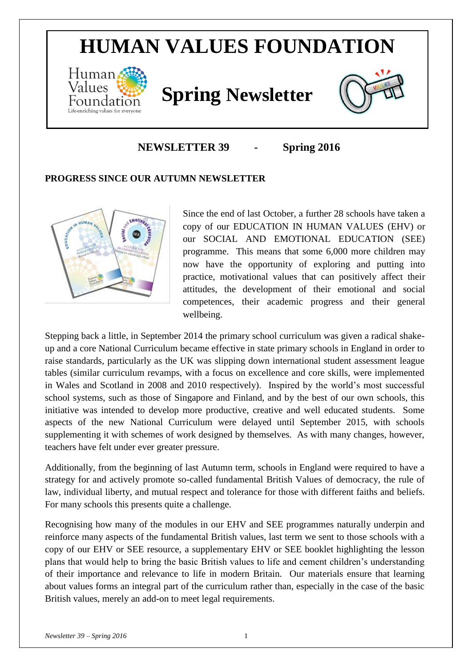## **HUMAN VALUES FOUNDATION**



# *Values* **Spring Newsletter**



## **NEWSLETTER 39 - Spring 2016**

#### **PROGRESS SINCE OUR AUTUMN NEWSLETTER**



Since the end of last October, a further 28 schools have taken a copy of our EDUCATION IN HUMAN VALUES (EHV) or our SOCIAL AND EMOTIONAL EDUCATION (SEE) programme. This means that some 6,000 more children may now have the opportunity of exploring and putting into practice, motivational values that can positively affect their attitudes, the development of their emotional and social competences, their academic progress and their general wellbeing.

Stepping back a little, in September 2014 the primary school curriculum was given a radical shakeup and a core National Curriculum became effective in state primary schools in England in order to raise standards, particularly as the UK was slipping down international student assessment league tables (similar curriculum revamps, with a focus on excellence and core skills, were implemented in Wales and Scotland in 2008 and 2010 respectively). Inspired by the world's most successful school systems, such as those of Singapore and Finland, and by the best of our own schools, this initiative was intended to develop more productive, creative and well educated students. Some aspects of the new National Curriculum were delayed until September 2015, with schools supplementing it with schemes of work designed by themselves. As with many changes, however, teachers have felt under ever greater pressure.

Additionally, from the beginning of last Autumn term, schools in England were required to have a strategy for and actively promote so-called fundamental British Values of democracy, the rule of law, individual liberty, and mutual respect and tolerance for those with different faiths and beliefs. For many schools this presents quite a challenge.

Recognising how many of the modules in our EHV and SEE programmes naturally underpin and reinforce many aspects of the fundamental British values, last term we sent to those schools with a copy of our EHV or SEE resource, a supplementary EHV or SEE booklet highlighting the lesson plans that would help to bring the basic British values to life and cement children's understanding of their importance and relevance to life in modern Britain. Our materials ensure that learning about values forms an integral part of the curriculum rather than, especially in the case of the basic British values, merely an add-on to meet legal requirements.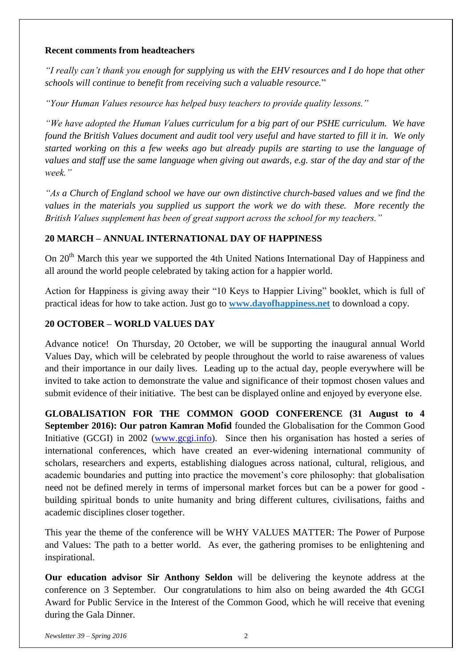#### **Recent comments from headteachers**

*"I really can't thank you enough for supplying us with the EHV resources and I do hope that other schools will continue to benefit from receiving such a valuable resource.*"

*"Your Human Values resource has helped busy teachers to provide quality lessons."*

*"We have adopted the Human Values curriculum for a big part of our PSHE curriculum. We have found the British Values document and audit tool very useful and have started to fill it in. We only started working on this a few weeks ago but already pupils are starting to use the language of values and staff use the same language when giving out awards, e.g. star of the day and star of the week."*

*"As a Church of England school we have our own distinctive church-based values and we find the values in the materials you supplied us support the work we do with these. More recently the British Values supplement has been of great support across the school for my teachers."*

#### **20 MARCH – ANNUAL INTERNATIONAL DAY OF HAPPINESS**

On 20<sup>th</sup> March this year we supported the 4th United Nations International Day of Happiness and all around the world people celebrated by taking action for a happier world.

Action for Happiness is giving away their "10 Keys to Happier Living" booklet, which is full of practical ideas for how to take action. Just go to **[www.dayofhappiness.net](http://actionforhappiness.us3.list-manage2.com/track/click?u=38ea3e7c0a12909b5f17eb1ed&id=e484b73319&e=f3bb8c310f)** to download a copy.

## **20 OCTOBER – WORLD VALUES DAY**

Advance notice! On Thursday, 20 October, we will be supporting the inaugural annual World Values Day, which will be celebrated by people throughout the world to raise awareness of values and their importance in our daily lives. Leading up to the actual day, people everywhere will be invited to take action to demonstrate the value and significance of their topmost chosen values and submit evidence of their initiative. The best can be displayed online and enjoyed by everyone else.

**GLOBALISATION FOR THE COMMON GOOD CONFERENCE (31 August to 4 September 2016): Our patron Kamran Mofid** founded the Globalisation for the Common Good Initiative (GCGI) in 2002 [\(www.gcgi.info\)](http://www.gcgi.info/). Since then his organisation has hosted a series of international conferences, which have created an ever-widening international community of scholars, researchers and experts, establishing dialogues across national, cultural, religious, and academic boundaries and putting into practice the movement's core philosophy: that globalisation need not be defined merely in terms of impersonal market forces but can be a power for good building spiritual bonds to unite humanity and bring different cultures, civilisations, faiths and academic disciplines closer together.

This year the theme of the conference will be WHY VALUES MATTER: The Power of Purpose and Values: The path to a better world. As ever, the gathering promises to be enlightening and inspirational.

**Our education advisor Sir Anthony Seldon** will be delivering the keynote address at the conference on 3 September. Our congratulations to him also on being awarded the 4th GCGI Award for Public Service in the Interest of the Common Good, which he will receive that evening during the Gala Dinner.

*Newsletter 39 – Spring 2016* 2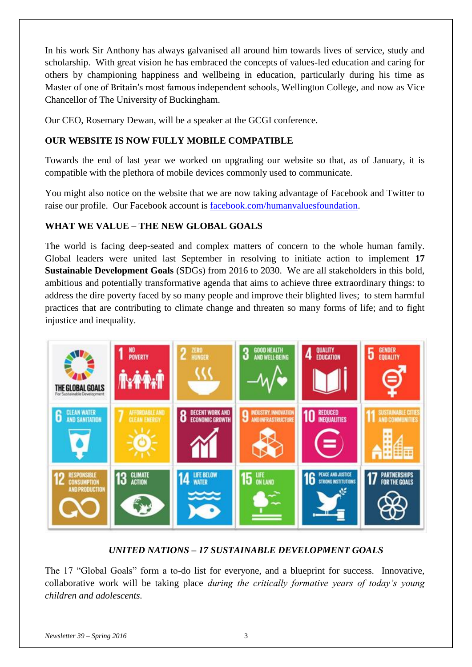In his work Sir Anthony has always galvanised all around him towards lives of service, study and scholarship. With great vision he has embraced the concepts of values-led education and caring for others by championing happiness and wellbeing in education, particularly during his time as Master of one of Britain's most famous independent schools, Wellington College, and now as Vice Chancellor of The University of Buckingham.

Our CEO, Rosemary Dewan, will be a speaker at the GCGI conference.

## **OUR WEBSITE IS NOW FULLY MOBILE COMPATIBLE**

Towards the end of last year we worked on upgrading our website so that, as of January, it is compatible with the plethora of mobile devices commonly used to communicate.

You might also notice on the website that we are now taking advantage of Facebook and Twitter to raise our profile. Our Facebook account is [facebook.com/humanvaluesfoundation.](http://facebook.com/humanvaluesfoundation)

## **WHAT WE VALUE – THE NEW GLOBAL GOALS**

The world is facing deep-seated and complex matters of concern to the whole human family. Global leaders were united last September in resolving to initiate action to implement **17 Sustainable Development Goals** (SDGs) from 2016 to 2030. We are all stakeholders in this bold, ambitious and potentially transformative agenda that aims to achieve three extraordinary things: to address the dire poverty faced by so many people and improve their blighted lives; to stem harmful practices that are contributing to climate change and threaten so many forms of life; and to fight injustice and inequality.



## *UNITED NATIONS – 17 SUSTAINABLE DEVELOPMENT GOALS*

The 17 "Global Goals" form a to-do list for everyone, and a blueprint for success. Innovative, collaborative work will be taking place *during the critically formative years of today's young children and adolescents.*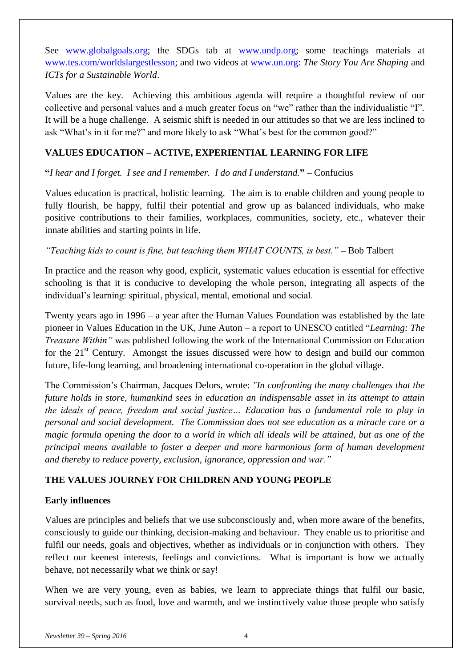See [www.globalgoals.org;](http://www.globalgoals.org/) the SDGs tab at [www.undp.org;](http://www.undp.org/) some teachings materials at [www.tes.com/worldslargestlesson;](http://www.tes.com/worldslargestlesson/) and two videos at [www.un.org:](http://www.un.org/sustainabledevelopment/blog/2015/10/icts-for-a-sustainable-world/) *The Story You Are Shaping* and *ICTs for a Sustainable World*.

Values are the key. Achieving this ambitious agenda will require a thoughtful review of our collective and personal values and a much greater focus on "we" rather than the individualistic "I". It will be a huge challenge. A seismic shift is needed in our attitudes so that we are less inclined to ask "What's in it for me?" and more likely to ask "What's best for the common good?"

#### **VALUES EDUCATION – ACTIVE, EXPERIENTIAL LEARNING FOR LIFE**

#### **"***I hear and I forget. I see and I remember. I do and I understand.***" –** Confucius

Values education is practical, holistic learning. The aim is to enable children and young people to fully flourish, be happy, fulfil their potential and grow up as balanced individuals, who make positive contributions to their families, workplaces, communities, society, etc., whatever their innate abilities and starting points in life.

#### *"Teaching kids to count is fine, but teaching them WHAT COUNTS, is best."* – Bob Talbert

In practice and the reason why good, explicit, systematic values education is essential for effective schooling is that it is conducive to developing the whole person, integrating all aspects of the individual's learning: spiritual, physical, mental, emotional and social.

Twenty years ago in 1996 – a year after the Human Values Foundation was established by the late pioneer in Values Education in the UK, June Auton – a report to UNESCO entitled "*Learning: The Treasure Within"* was published following the work of the International Commission on Education for the  $21<sup>st</sup>$  Century. Amongst the issues discussed were how to design and build our common future, life-long learning, and broadening international co-operation in the global village.

The Commission's Chairman, Jacques Delors, wrote: *"In confronting the many challenges that the future holds in store, humankind sees in education an indispensable asset in its attempt to attain the ideals of peace, freedom and social justice… Education has a fundamental role to play in personal and social development. The Commission does not see education as a miracle cure or a magic formula opening the door to a world in which all ideals will be attained, but as one of the principal means available to foster a deeper and more harmonious form of human development and thereby to reduce poverty, exclusion, ignorance, oppression and war."*

#### **THE VALUES JOURNEY FOR CHILDREN AND YOUNG PEOPLE**

#### **Early influences**

Values are principles and beliefs that we use subconsciously and, when more aware of the benefits, consciously to guide our thinking, decision-making and behaviour. They enable us to prioritise and fulfil our needs, goals and objectives, whether as individuals or in conjunction with others. They reflect our keenest interests, feelings and convictions. What is important is how we actually behave, not necessarily what we think or say!

When we are very young, even as babies, we learn to appreciate things that fulfil our basic, survival needs, such as food, love and warmth, and we instinctively value those people who satisfy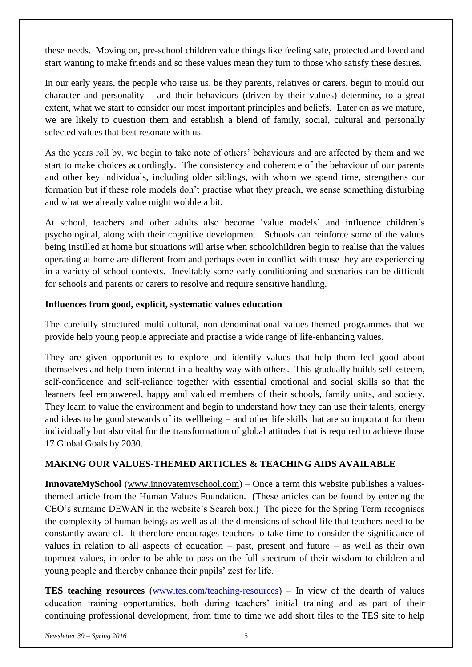these needs. Moving on, pre-school children value things like feeling safe, protected and loved and start wanting to make friends and so these values mean they turn to those who satisfy these desires.

In our early years, the people who raise us, be they parents, relatives or carers, begin to mould our character and personality – and their behaviours (driven by their values) determine, to a great extent, what we start to consider our most important principles and beliefs. Later on as we mature, we are likely to question them and establish a blend of family, social, cultural and personally selected values that best resonate with us.

As the years roll by, we begin to take note of others' behaviours and are affected by them and we start to make choices accordingly. The consistency and coherence of the behaviour of our parents and other key individuals, including older siblings, with whom we spend time, strengthens our formation but if these role models don't practise what they preach, we sense something disturbing and what we already value might wobble a bit.

At school, teachers and other adults also become 'value models' and influence children's psychological, along with their cognitive development. Schools can reinforce some of the values being instilled at home but situations will arise when schoolchildren begin to realise that the values operating at home are different from and perhaps even in conflict with those they are experiencing in a variety of school contexts. Inevitably some early conditioning and scenarios can be difficult for schools and parents or carers to resolve and require sensitive handling.

#### **Influences from good, explicit, systematic values education**

The carefully structured multi-cultural, non-denominational values-themed programmes that we provide help young people appreciate and practise a wide range of life-enhancing values.

They are given opportunities to explore and identify values that help them feel good about themselves and help them interact in a healthy way with others. This gradually builds self-esteem, self-confidence and self-reliance together with essential emotional and social skills so that the learners feel empowered, happy and valued members of their schools, family units, and society. They learn to value the environment and begin to understand how they can use their talents, energy and ideas to be good stewards of its wellbeing – and other life skills that are so important for them individually but also vital for the transformation of global attitudes that is required to achieve those 17 Global Goals by 2030.

#### **MAKING OUR VALUES-THEMED ARTICLES & TEACHING AIDS AVAILABLE**

**InnovateMySchool** [\(www.innovatemyschool.com\)](http://www.innovatemyschool.com/) – Once a term this website publishes a valuesthemed article from the Human Values Foundation. (These articles can be found by entering the CEO's surname DEWAN in the website's Search box.) The piece for the Spring Term recognises the complexity of human beings as well as all the dimensions of school life that teachers need to be constantly aware of. It therefore encourages teachers to take time to consider the significance of values in relation to all aspects of education – past, present and future – as well as their own topmost values, in order to be able to pass on the full spectrum of their wisdom to children and young people and thereby enhance their pupils' zest for life.

**TES teaching resources** [\(www.tes.com/teaching-resources\)](https://www.tes.com/teaching-resources) – In view of the dearth of values education training opportunities, both during teachers' initial training and as part of their continuing professional development, from time to time we add short files to the TES site to help